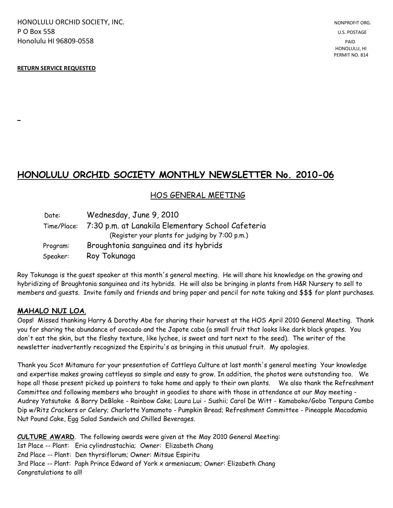HONOLULU ORCHID SOCIETY, INC. NONPROFIT ORG. NONPROFIT ORG. **P O Box 558** U.S. POSTAGE Honolulu HI 96809-0558 PAID

#### **RETURN SERVICE REQUESTED**

**\_**

# **HONOLULU ORCHID SOCIETY MONTHLY NEWSLETTER No. 2010-06**

## HOS GENERAL MEETING

| Date:    | Wednesday, June 9, 2010                                       |
|----------|---------------------------------------------------------------|
|          | Time/Place: 7:30 p.m. at Lanakila Elementary School Cafeteria |
|          | (Register your plants for judging by 7:00 p.m.)               |
| Program: | Broughtonia sanguinea and its hybrids                         |
| Speaker: | Roy Tokunaga                                                  |

Roy Tokunaga is the guest speaker at this month's general meeting. He will share his knowledge on the growing and hybridizing of Broughtonia sanguinea and its hybrids. He will also be bringing in plants from H&R Nursery to sell to members and guests. Invite family and friends and bring paper and pencil for note taking and \$\$\$ for plant purchases.

#### **MAHALO NUI LOA**.

Oops! Missed thanking Harry & Dorothy Abe for sharing their harvest at the HOS April 2010 General Meeting. Thank you for sharing the abundance of avocado and the Japote caba (a small fruit that looks like dark black grapes. You don't eat the skin, but the fleshy texture, like lychee, is sweet and tart next to the seed). The writer of the newsletter inadvertently recognized the Espiritu's as bringing in this unusual fruit. My apologies.

Thank you Scot Mitamura for your presentation of Cattleya Culture at last month's general meeting Your knowledge and expertise makes growing cattleyas so simple and easy to grow. In addition, the photos were outstanding too. We hope all those present picked up pointers to take home and apply to their own plants. We also thank the Refreshment Committee and following members who brought in goodies to share with those in attendance at our May meeting - Audrey Yatsutake & Barry DeBlake - Rainbow Cake; Laura Lui - Sushii; Carol De Witt - Kamaboko/Gobo Tenpura Combo Dip w/Ritz Crackers or Celery; Charlotte Yamamoto - Pumpkin Bread; Refreshment Committee - Pineapple Macadamia Nut Pound Cake, Egg Salad Sandwich and Chilled Beverages.

**CULTURE AWARD**. The following awards were given at the May 2010 General Meeting: 1st Place -- Plant: Eria cylindrastachia; Owner: Elizabeth Chang 2nd Place -- Plant: Den thyrsiflorum; Owner: Mitsue Espiritu 3rd Place -- Plant: Paph Prince Edward of York x armeniacum; Owner: Elizabeth Chang Congratulations to all!